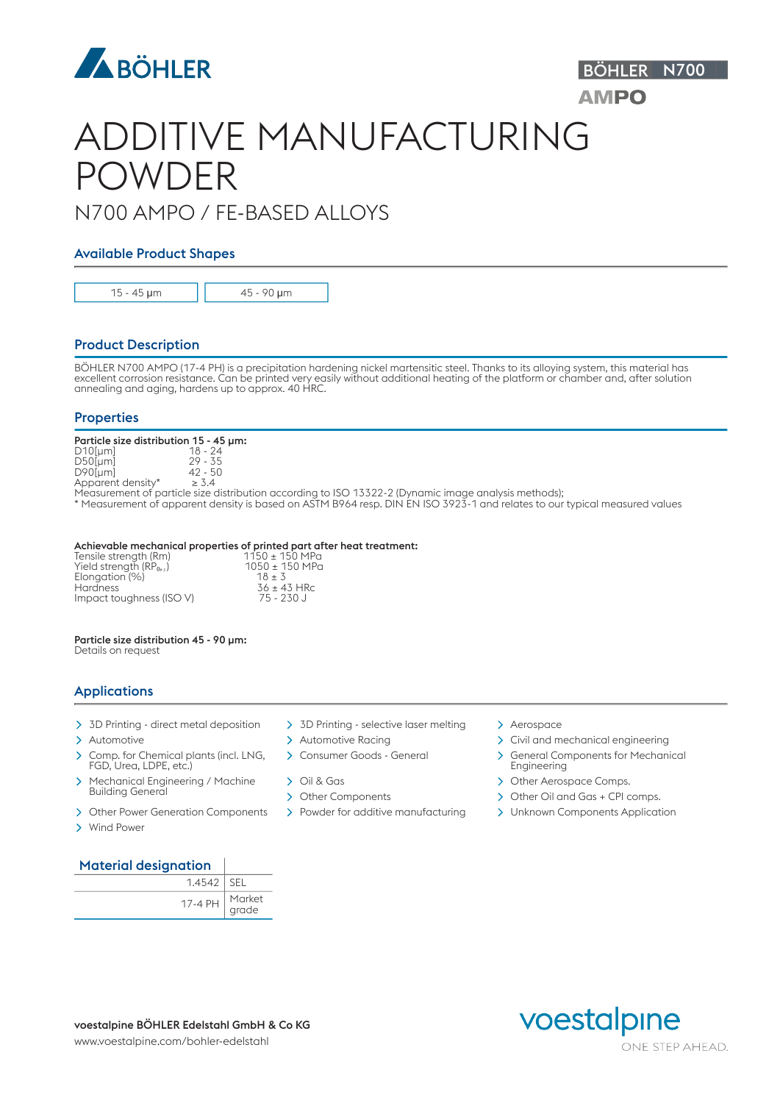

# ADDITIVE MANUFACTURING POWDER

### N700 AMPO / FE-BASED ALLOYS

#### Available Product Shapes

15 - 45 μm 45 - 90 μm

#### Product Description

BÖHLER N700 AMPO (17-4 PH) is a precipitation hardening nickel martensitic steel. Thanks to its alloying system, this material has excellent corrosion resistance. Can be printed very easily without additional heating of the platform or chamber and, after solution annealing and aging, hardens up to approx. 40 HRC.

#### **Properties**

## Particle size distribution 15 - 45 µm:<br>D10[µm]  $18 - 24$ <br>D50[µm]  $29 - 35$

 $D10$ [µm] D50[µm] 29 - 35  $D90$ [µm]  $42 - 5$ <br>Apparent density\*  $\geq 3.4$ 

Apparent density\*

Measurement of particle size distribution according to ISO 13322-2 (Dynamic image analysis methods);

\* Measurement of apparent density is based on ASTM B964 resp. DIN EN ISO 3923-1 and relates to our typical measured values

#### Achievable mechanical properties of printed part after heat treatment:

| Tensile strength (Rm)     | $1150 \pm 150$ MPa |  |
|---------------------------|--------------------|--|
| Yield strength $(RP_0, )$ | 1050 ± 150 MPa     |  |
| Elongation (%)            | $18 + 3$           |  |
| <b>Hardness</b>           | $36 \pm 43$ HRc    |  |
| Impact toughness (ISO V)  | 75 - 230 J         |  |

#### Particle size distribution 45 - 90 µm:

Details on request

#### Applications

- > 3D Printing direct metal deposition > 3D Printing selective laser melting > Aerospace
- 
- > Comp. for Chemical plants (incl. LNG, > Consumer Goods General FGD, Urea, LDPE, etc.)
- > Mechanical Engineering / Machine > Oil & Gas **Building General**
- > Other Power Generation Components > Powder for additive manufacturing > Unknown Components Application
- Wind Power
- 
- 
- 
- 
- 
- 

- > Automotive Automotive Automotive Racing > Civil and mechanical engineering
	- > General Components for Mechanical Engineering

BÖHLER N700

**AMPO** 

- > Other Aerospace Comps.
- Other Components Other Oil and Gas + CPI comps.
	-

#### Material designation

| $1.4542$ SEL                                                               |  |
|----------------------------------------------------------------------------|--|
| 17-4 PH $\Big \begin{array}{c}\text{Market}\ \text{grade}\end{array}\Big $ |  |